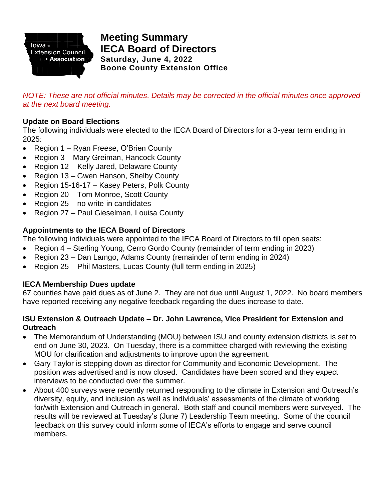

# **Meeting Summary IECA Board of Directors Saturday, June 4, 2022 Boone County Extension Office**

*NOTE: These are not official minutes. Details may be corrected in the official minutes once approved at the next board meeting.*

### **Update on Board Elections**

The following individuals were elected to the IECA Board of Directors for a 3-year term ending in 2025:

- Region 1 Ryan Freese, O'Brien County
- Region 3 Mary Greiman, Hancock County
- Region 12 Kelly Jared, Delaware County
- Region 13 Gwen Hanson, Shelby County
- Region 15-16-17 Kasey Peters, Polk County
- Region 20 Tom Monroe, Scott County
- Region 25 no write-in candidates
- Region 27 Paul Gieselman, Louisa County

### **Appointments to the IECA Board of Directors**

The following individuals were appointed to the IECA Board of Directors to fill open seats:

- Region 4 Sterling Young, Cerro Gordo County (remainder of term ending in 2023)
- Region 23 Dan Lamgo, Adams County (remainder of term ending in 2024)
- Region 25 Phil Masters, Lucas County (full term ending in 2025)

### **IECA Membership Dues update**

67 counties have paid dues as of June 2. They are not due until August 1, 2022. No board members have reported receiving any negative feedback regarding the dues increase to date.

#### **ISU Extension & Outreach Update – Dr. John Lawrence, Vice President for Extension and Outreach**

- The Memorandum of Understanding (MOU) between ISU and county extension districts is set to end on June 30, 2023. On Tuesday, there is a committee charged with reviewing the existing MOU for clarification and adjustments to improve upon the agreement.
- Gary Taylor is stepping down as director for Community and Economic Development. The position was advertised and is now closed. Candidates have been scored and they expect interviews to be conducted over the summer.
- About 400 surveys were recently returned responding to the climate in Extension and Outreach's diversity, equity, and inclusion as well as individuals' assessments of the climate of working for/with Extension and Outreach in general. Both staff and council members were surveyed. The results will be reviewed at Tuesday's (June 7) Leadership Team meeting. Some of the council feedback on this survey could inform some of IECA's efforts to engage and serve council members.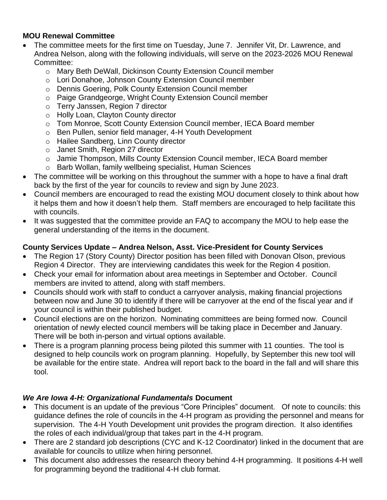### **MOU Renewal Committee**

- The committee meets for the first time on Tuesday, June 7. Jennifer Vit, Dr. Lawrence, and Andrea Nelson, along with the following individuals, will serve on the 2023-2026 MOU Renewal Committee:
	- o Mary Beth DeWall, Dickinson County Extension Council member
	- o Lori Donahoe, Johnson County Extension Council member
	- o Dennis Goering, Polk County Extension Council member
	- o Paige Grandgeorge, Wright County Extension Council member
	- o Terry Janssen, Region 7 director
	- o Holly Loan, Clayton County director
	- o Tom Monroe, Scott County Extension Council member, IECA Board member
	- o Ben Pullen, senior field manager, 4-H Youth Development
	- o Hailee Sandberg, Linn County director
	- o Janet Smith, Region 27 director
	- o Jamie Thompson, Mills County Extension Council member, IECA Board member
	- o Barb Wollan, family wellbeing specialist, Human Sciences
- The committee will be working on this throughout the summer with a hope to have a final draft back by the first of the year for councils to review and sign by June 2023.
- Council members are encouraged to read the existing MOU document closely to think about how it helps them and how it doesn't help them. Staff members are encouraged to help facilitate this with councils.
- It was suggested that the committee provide an FAQ to accompany the MOU to help ease the general understanding of the items in the document.

## **County Services Update – Andrea Nelson, Asst. Vice-President for County Services**

- The Region 17 (Story County) Director position has been filled with Donovan Olson, previous Region 4 Director. They are interviewing candidates this week for the Region 4 position.
- Check your email for information about area meetings in September and October. Council members are invited to attend, along with staff members.
- Councils should work with staff to conduct a carryover analysis, making financial projections between now and June 30 to identify if there will be carryover at the end of the fiscal year and if your council is within their published budget.
- Council elections are on the horizon. Nominating committees are being formed now. Council orientation of newly elected council members will be taking place in December and January. There will be both in-person and virtual options available.
- There is a program planning process being piloted this summer with 11 counties. The tool is designed to help councils work on program planning. Hopefully, by September this new tool will be available for the entire state. Andrea will report back to the board in the fall and will share this tool.

## *We Are Iowa 4-H: Organizational Fundamentals* **Document**

- This document is an update of the previous "Core Principles" document. Of note to councils: this guidance defines the role of councils in the 4-H program as providing the personnel and means for supervision. The 4-H Youth Development unit provides the program direction. It also identifies the roles of each individual/group that takes part in the 4-H program.
- There are 2 standard job descriptions (CYC and K-12 Coordinator) linked in the document that are available for councils to utilize when hiring personnel.
- This document also addresses the research theory behind 4-H programming. It positions 4-H well for programming beyond the traditional 4-H club format.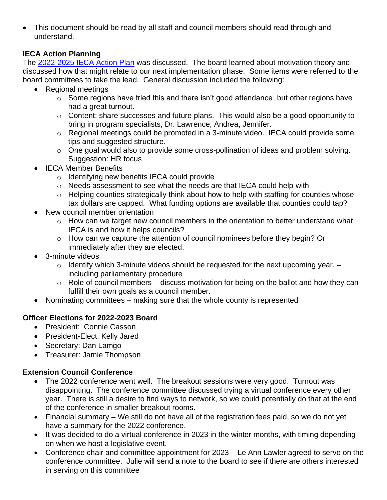• This document should be read by all staff and council members should read through and understand.

### **IECA Action Planning**

The [2022-2025 IECA Action Plan](https://www.iaextensioncouncils.org/ieca-action-plan) was discussed. The board learned about motivation theory and discussed how that might relate to our next implementation phase. Some items were referred to the board committees to take the lead. General discussion included the following:

- Regional meetings
	- $\circ$  Some regions have tried this and there isn't good attendance, but other regions have had a great turnout.
	- o Content: share successes and future plans. This would also be a good opportunity to bring in program specialists, Dr. Lawrence, Andrea, Jennifer.
	- o Regional meetings could be promoted in a 3-minute video. IECA could provide some tips and suggested structure.
	- o One goal would also to provide some cross-pollination of ideas and problem solving. Suggestion: HR focus
- **IECA Member Benefits** 
	- o Identifying new benefits IECA could provide
	- o Needs assessment to see what the needs are that IECA could help with
	- o Helping counties strategically think about how to help with staffing for counties whose tax dollars are capped. What funding options are available that counties could tap?
- New council member orientation
	- o How can we target new council members in the orientation to better understand what IECA is and how it helps councils?
	- o How can we capture the attention of council nominees before they begin? Or immediately after they are elected.
- 3-minute videos
	- $\circ$  Identify which 3-minute videos should be requested for the next upcoming year.  $$ including parliamentary procedure
	- $\circ$  Role of council members discuss motivation for being on the ballot and how they can fulfill their own goals as a council member.
- Nominating committees making sure that the whole county is represented

### **Officer Elections for 2022-2023 Board**

- President: Connie Casson
- President-Elect: Kelly Jared
- Secretary: Dan Lamgo
- Treasurer: Jamie Thompson

### **Extension Council Conference**

- The 2022 conference went well. The breakout sessions were very good. Turnout was disappointing. The conference committee discussed trying a virtual conference every other year. There is still a desire to find ways to network, so we could potentially do that at the end of the conference in smaller breakout rooms.
- Financial summary We still do not have all of the registration fees paid, so we do not yet have a summary for the 2022 conference.
- It was decided to do a virtual conference in 2023 in the winter months, with timing depending on when we host a legislative event.
- Conference chair and committee appointment for 2023 Le Ann Lawler agreed to serve on the conference committee. Julie will send a note to the board to see if there are others interested in serving on this committee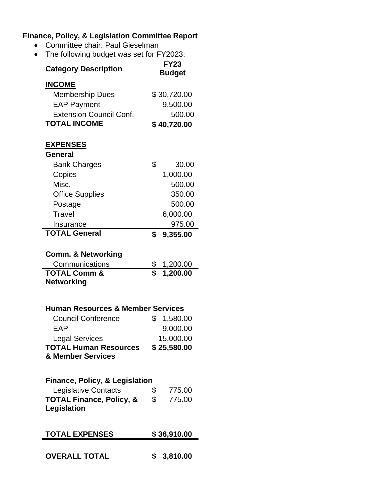# **Finance, Policy, & Legislation Committee Report**

- Committee chair: Paul Gieselman
- The following budget was set for FY2023:

| THE TUITUMITY DUUYEL WAS SELTUL TI ZUZU.                                        |                              |             |  |  |
|---------------------------------------------------------------------------------|------------------------------|-------------|--|--|
| <b>Category Description</b>                                                     | <b>FY23</b><br><b>Budget</b> |             |  |  |
| <b>INCOME</b>                                                                   |                              |             |  |  |
| <b>Membership Dues</b>                                                          |                              | \$30,720.00 |  |  |
| <b>EAP Payment</b>                                                              |                              | 9,500.00    |  |  |
| <b>Extension Council Conf.</b>                                                  |                              | 500.00      |  |  |
| <b>TOTAL INCOME</b>                                                             |                              | \$40,720.00 |  |  |
| <u>EXPENSES</u>                                                                 |                              |             |  |  |
| General                                                                         |                              |             |  |  |
| <b>Bank Charges</b>                                                             | \$                           | 30.00       |  |  |
| Copies                                                                          |                              | 1,000.00    |  |  |
| Misc.                                                                           |                              | 500.00      |  |  |
| <b>Office Supplies</b>                                                          |                              | 350.00      |  |  |
| Postage                                                                         |                              | 500.00      |  |  |
| Travel                                                                          |                              | 6,000.00    |  |  |
| Insurance                                                                       |                              | 975.00      |  |  |
| <b>TOTAL General</b>                                                            | \$                           | 9,355.00    |  |  |
| <b>Comm. &amp; Networking</b>                                                   |                              |             |  |  |
| Communications                                                                  | \$<br>\$                     | 1,200.00    |  |  |
| <b>TOTAL Comm &amp;</b><br><b>Networking</b>                                    |                              | 1,200.00    |  |  |
| <b>Human Resources &amp; Member Services</b>                                    |                              |             |  |  |
| <b>Council Conference</b>                                                       | \$                           | 1,580.00    |  |  |
| EAP                                                                             |                              | 9,000.00    |  |  |
| Legal Services                                                                  |                              | 15,000.00   |  |  |
| <b>TOTAL Human Resources</b><br>& Member Services                               |                              | \$25,580.00 |  |  |
| <b>Finance, Policy, &amp; Legislation</b><br>$\sim$ $\sim$ $\sim$ $\sim$ $\sim$ |                              |             |  |  |

| Legislative Contacts                | 775.00 |
|-------------------------------------|--------|
| <b>TOTAL Finance, Policy, &amp;</b> | 775.00 |
| Legislation                         |        |

| <b>TOTAL EXPENSES</b> | \$36,910.00 |
|-----------------------|-------------|
|                       |             |

**OVERALL TOTAL \$ 3,810.00**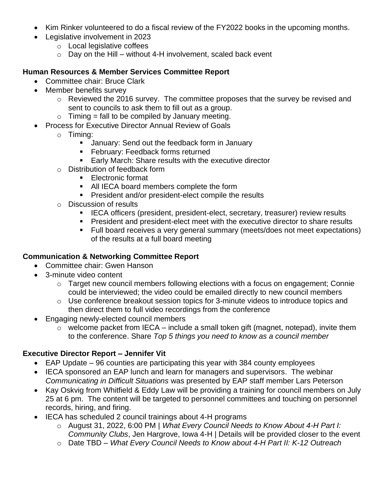- Kim Rinker volunteered to do a fiscal review of the FY2022 books in the upcoming months.
- Legislative involvement in 2023
	- o Local legislative coffees
	- $\circ$  Day on the Hill without 4-H involvement, scaled back event

#### **Human Resources & Member Services Committee Report**

- Committee chair: Bruce Clark
- Member benefits survey
	- o Reviewed the 2016 survey. The committee proposes that the survey be revised and sent to councils to ask them to fill out as a group.
	- $\circ$  Timing = fall to be compiled by January meeting.
- Process for Executive Director Annual Review of Goals
	- o Timing:
		- **E** January: Send out the feedback form in January
		- **E** February: Feedback forms returned
		- Early March: Share results with the executive director
	- o Distribution of feedback form
		- Electronic format
		- All IECA board members complete the form
		- President and/or president-elect compile the results
	- o Discussion of results
		- IECA officers (president, president-elect, secretary, treasurer) review results
		- President and president-elect meet with the executive director to share results
		- Full board receives a very general summary (meets/does not meet expectations) of the results at a full board meeting

### **Communication & Networking Committee Report**

- Committee chair: Gwen Hanson
- 3-minute video content
	- o Target new council members following elections with a focus on engagement; Connie could be interviewed; the video could be emailed directly to new council members
	- o Use conference breakout session topics for 3-minute videos to introduce topics and then direct them to full video recordings from the conference
- Engaging newly-elected council members
	- $\circ$  welcome packet from IECA include a small token gift (magnet, notepad), invite them to the conference. Share *Top 5 things you need to know as a council member*

### **Executive Director Report – Jennifer Vit**

- EAP Update 96 counties are participating this year with 384 county employees
- IECA sponsored an EAP lunch and learn for managers and supervisors. The webinar *Communicating in Difficult Situations* was presented by EAP staff member Lars Peterson
- Kay Oskvig from Whitfield & Eddy Law will be providing a training for council members on July 25 at 6 pm. The content will be targeted to personnel committees and touching on personnel records, hiring, and firing.
- IECA has scheduled 2 council trainings about 4-H programs
	- o August 31, 2022, 6:00 PM | *What Every Council Needs to Know About 4-H Part I: Community Clubs*, Jen Hargrove, Iowa 4-H | Details will be provided closer to the event
	- o Date TBD *What Every Council Needs to Know about 4-H Part II: K-12 Outreach*